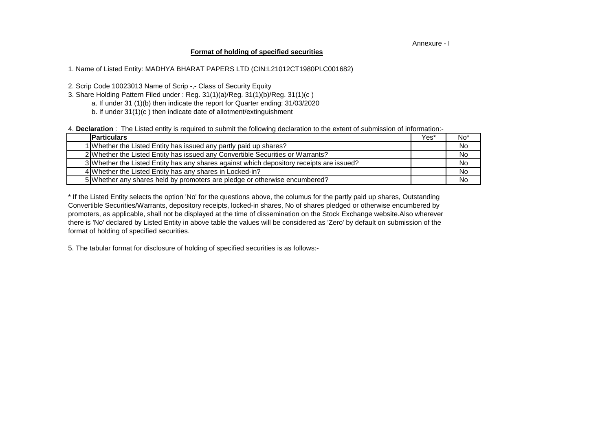## Annexure - I

## **Format of holding of specified securities**

1. Name of Listed Entity: MADHYA BHARAT PAPERS LTD (CIN:L21012CT1980PLC001682)

2. Scrip Code 10023013 Name of Scrip -,- Class of Security Equity

- a. If under 31 (1)(b) then indicate the report for Quarter ending: 31/03/2020 3. Share Holding Pattern Filed under : Reg. 31(1)(a)/Reg. 31(1)(b)/Reg. 31(1)(c )
	- b. If under 31(1)(c ) then indicate date of allotment/extinguishment

4. **Declaration** : The Listed entity is required to submit the following declaration to the extent of submission of information:-

| <b>Particulars</b>                                                                       | Yes* | No <sup>*</sup> |
|------------------------------------------------------------------------------------------|------|-----------------|
| 1 Whether the Listed Entity has issued any partly paid up shares?                        |      | No.             |
| 2 Whether the Listed Entity has issued any Convertible Securities or Warrants?           |      | No              |
| 3 Whether the Listed Entity has any shares against which depository receipts are issued? |      | <b>No</b>       |
| 4 Whether the Listed Entity has any shares in Locked-in?                                 |      | No              |
| 5 Whether any shares held by promoters are pledge or otherwise encumbered?               |      | <b>No</b>       |

there is 'No' declared by Listed Entity in above table the values will be considered as 'Zero' by default on submission of the format of holding of specified securities. \* If the Listed Entity selects the option 'No' for the questions above, the columus for the partly paid up shares, Outstanding Convertible Securities/Warrants, depository receipts, locked-in shares, No of shares pledged or otherwise encumbered by promoters, as applicable, shall not be displayed at the time of dissemination on the Stock Exchange website.Also wherever

5. The tabular format for disclosure of holding of specified securities is as follows:-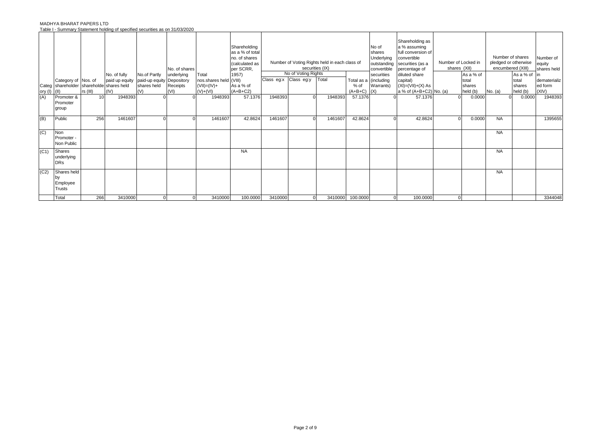## MADHYA BHARAT PAPERS LTD Table I - Summary Statement holding of specified securities as on 31/03/2020

|                         | Category of Nos. of<br>Categ shareholder shareholde shares held |                  | No. of fully<br>paid up equity | No.of Partly<br>paid-up equity Depository<br>shares held | No. of shares<br>underlying<br>Receipts | Total<br>nos.shares held (VIII)<br>$($ VII)= $(IV)$ + | Shareholding<br>as a % of total<br>no. of shares<br>(calculated as<br>per SCRR,<br>1957)<br>As a % of | Class eg:x Class eg:y | No of Voting Rights | Number of Voting Rights held in each class of<br>securities (IX)<br>Total | $%$ of               | No of<br>shares<br>Underlying<br>outstanding<br>convertible<br>securities<br>Total as a (including<br>Warrants) | Shareholding as<br>a % assuming<br>full conversion of<br>convertible<br>securities (as a<br>percentage of<br>diluted share<br>capital)<br>$(XI) = (VII) + (X) As$ | Number of Locked in<br>shares (XII) | As a % of<br>total<br>shares |           | Number of shares<br>pledged or otherwise<br>encumbered (XIII)<br>As a % of<br>total<br>shares | Number of<br>equity<br>shares held<br>lin<br>dematerializ<br>ed form |
|-------------------------|-----------------------------------------------------------------|------------------|--------------------------------|----------------------------------------------------------|-----------------------------------------|-------------------------------------------------------|-------------------------------------------------------------------------------------------------------|-----------------------|---------------------|---------------------------------------------------------------------------|----------------------|-----------------------------------------------------------------------------------------------------------------|-------------------------------------------------------------------------------------------------------------------------------------------------------------------|-------------------------------------|------------------------------|-----------|-----------------------------------------------------------------------------------------------|----------------------------------------------------------------------|
| ory $(I)$ $(II)$<br>(A) | Promoter &                                                      | $rs$ (III)<br>10 | (IV)<br>1948393                | (V)                                                      | (VI)                                    | $(V)+(V)$<br>1948393                                  | $(A+B+C2)$<br>57.1376                                                                                 | 1948393               |                     | 1948393                                                                   | $(A+B+C)$<br>57.1376 | (X)                                                                                                             | a % of (A+B+C2) No. (a)<br>57.1376                                                                                                                                |                                     | held (b)<br>0.0000           | No. (a)   | held (b)<br>0.0000                                                                            | (XIV)<br>1948393                                                     |
|                         | Promoter<br>group                                               |                  |                                |                                                          |                                         |                                                       |                                                                                                       |                       |                     |                                                                           |                      |                                                                                                                 |                                                                                                                                                                   |                                     |                              |           |                                                                                               |                                                                      |
| (B)                     | Public                                                          | 256              | 1461607                        |                                                          |                                         | 1461607                                               | 42.8624                                                                                               | 1461607               |                     | 1461607                                                                   | 42.8624              |                                                                                                                 | 42.8624                                                                                                                                                           |                                     | 0.0000                       | <b>NA</b> |                                                                                               | 1395655                                                              |
| (C)                     | <b>Non</b><br>Promoter -<br>Non Public                          |                  |                                |                                                          |                                         |                                                       |                                                                                                       |                       |                     |                                                                           |                      |                                                                                                                 |                                                                                                                                                                   |                                     |                              | <b>NA</b> |                                                                                               |                                                                      |
| (C1)                    | Shares<br>underlying<br><b>DRs</b>                              |                  |                                |                                                          |                                         |                                                       | <b>NA</b>                                                                                             |                       |                     |                                                                           |                      |                                                                                                                 |                                                                                                                                                                   |                                     |                              | <b>NA</b> |                                                                                               |                                                                      |
| (C2)                    | Shares held<br>Employee<br>Trusts                               |                  |                                |                                                          |                                         |                                                       |                                                                                                       |                       |                     |                                                                           |                      |                                                                                                                 |                                                                                                                                                                   |                                     |                              | <b>NA</b> |                                                                                               |                                                                      |
|                         | Total                                                           | 266              | 3410000                        |                                                          | $\Omega$                                | 3410000                                               | 100.0000                                                                                              | 3410000               | $\mathbf 0$         | 3410000                                                                   | 100.0000             | $\Omega$                                                                                                        | 100.0000                                                                                                                                                          |                                     |                              |           |                                                                                               | 3344048                                                              |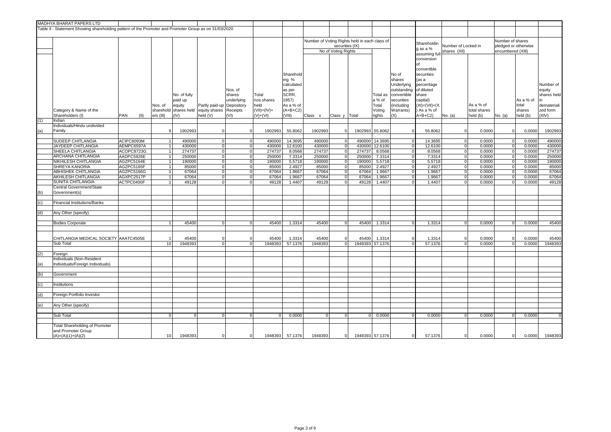|     | MADHYA BHARAT PAPERS LTD                                                                              |                          |      |                 |                       |                               |                                  |                    |                    |                                               |                                  |                |                    |                          |                                 |                            |                  |                      |                  |                |
|-----|-------------------------------------------------------------------------------------------------------|--------------------------|------|-----------------|-----------------------|-------------------------------|----------------------------------|--------------------|--------------------|-----------------------------------------------|----------------------------------|----------------|--------------------|--------------------------|---------------------------------|----------------------------|------------------|----------------------|------------------|----------------|
|     | Table II - Statement Showing shareholding pattern of the Promoter and Promoter Group as on 31/03/2020 |                          |      |                 |                       |                               |                                  |                    |                    |                                               |                                  |                |                    |                          |                                 |                            |                  |                      |                  |                |
|     |                                                                                                       |                          |      |                 |                       |                               |                                  |                    |                    |                                               |                                  |                |                    |                          |                                 |                            |                  |                      |                  |                |
|     |                                                                                                       |                          |      |                 |                       |                               |                                  |                    |                    | Number of Voting Rights held in each class of |                                  |                |                    |                          | Shareholdin                     |                            |                  | Number of shares     |                  |                |
|     |                                                                                                       |                          |      |                 |                       |                               |                                  |                    |                    |                                               | securities (IX)                  |                |                    |                          | q as a %                        | Number of Locked in        |                  | pledged or otherwise |                  |                |
|     |                                                                                                       |                          |      |                 |                       |                               |                                  |                    |                    |                                               | No of Voting Rights              |                |                    |                          | assuming full                   | shares (XII)               |                  | encumbered (XIII)    |                  |                |
|     |                                                                                                       |                          |      |                 |                       |                               |                                  |                    |                    |                                               |                                  |                |                    |                          | conversion                      |                            |                  |                      |                  |                |
|     |                                                                                                       |                          |      |                 |                       |                               |                                  |                    |                    |                                               |                                  |                |                    |                          | of                              |                            |                  |                      |                  |                |
|     |                                                                                                       |                          |      |                 |                       |                               |                                  |                    |                    |                                               |                                  |                |                    |                          | convertible                     |                            |                  |                      |                  |                |
|     |                                                                                                       |                          |      |                 |                       |                               |                                  |                    | Sharehold          |                                               |                                  |                |                    | No of                    | securities                      |                            |                  |                      |                  |                |
|     |                                                                                                       |                          |      |                 |                       |                               |                                  |                    | ing %              |                                               |                                  |                |                    | shares                   | (as a                           |                            |                  |                      |                  |                |
|     |                                                                                                       |                          |      |                 |                       |                               |                                  |                    | calculated         |                                               |                                  |                |                    | Underlying               | percentage                      |                            |                  |                      |                  | Number of      |
|     |                                                                                                       |                          |      |                 |                       |                               | Nos. of                          |                    | as per             |                                               |                                  |                |                    | outstanding              | of diluted                      |                            |                  |                      |                  | equity         |
|     |                                                                                                       |                          |      |                 | No. of fully          |                               | shares                           | Total              | SCRR.              |                                               |                                  |                | Total as<br>a % of | convertible              | share                           |                            |                  |                      | As a % of        | shares held    |
|     |                                                                                                       |                          |      | Nos. of         | paid up<br>equity     | Partly paid-up Depository     | underlying                       | nos.shares<br>held | 1957)<br>As a % of |                                               |                                  |                | Total              | securities<br>(including | capital)<br>$(XI) = (VII) + (X$ |                            | As a % of        |                      | total            | demateriali    |
|     | Category & Name of the                                                                                |                          |      |                 | sharehold shares held | equity shares                 | Receipts                         | $(VII) = (IV) +$   | $(A+B+C2)$         |                                               |                                  |                | Voting             | Warrants)                | As a % of                       |                            | total shares     |                      | shares           | zed form       |
|     | Shareholders (I)                                                                                      | <b>PAN</b>               | (11) | ers (III)       | (IV)                  | held (V)                      | (VI)                             | $(V)+(V)$          | (VIII)             | Class x                                       | Class y   Total                  |                | rights             | (X)                      | $A+B+C2$                        | No. (a)                    | held (b)         | No. (a)              | held (b)         | (XIV)          |
| (1) | Indian                                                                                                |                          |      |                 |                       |                               |                                  |                    |                    |                                               |                                  |                |                    |                          |                                 |                            |                  |                      |                  |                |
|     | Individuals/Hindu undivided                                                                           |                          |      |                 |                       |                               |                                  |                    |                    |                                               |                                  |                |                    |                          |                                 |                            |                  |                      |                  |                |
| (a) | Family                                                                                                |                          |      | 9               | 1902993               | $\mathbf 0$                   |                                  | 1902993            | 55.8062            | 1902993                                       | $\mathbf 0$                      |                | 1902993 55.8062    | $\Omega$                 | 55.8062                         | $\mathbf 0$                | 0.0000           | $\Omega$             | 0.0000           | 1902993        |
|     |                                                                                                       |                          |      |                 |                       |                               |                                  |                    |                    |                                               |                                  |                |                    |                          |                                 |                            |                  |                      |                  |                |
|     | <b>SUDEEP CHITLANGIA</b>                                                                              | ACIPC6093M               |      | $\overline{1}$  | 490000                | $\mathbf 0$                   | $\Omega$                         | 490000             | 14.3695            | 490000                                        | $\overline{0}$                   |                | 490000 14.3695     | $\Omega$                 | 14.3695                         | $\overline{0}$             | 0.0000           | $\Omega$             | 0.0000           | 490000         |
|     | JAYDEEP CHITLANGIA                                                                                    | AEMPC6597A               |      | $\overline{1}$  | 430000                | $\mathbf 0$                   | $\overline{0}$                   | 430000             | 12.6100            | 430000                                        | $\overline{0}$                   |                | 430000 12.6100     | $\Omega$                 | 12.6100                         | $\mathbf 0$                | 0.0000           | $\Omega$             | 0.0000           | 430000         |
|     | SHEELA CHITLANGIA                                                                                     | ACOPC8723G               |      | $\vert$ 1       | 274737                | $\overline{0}$                | $\overline{0}$                   | 274737             | 8.0568             | 274737                                        | $\overline{0}$                   | 274737         | 8.0568             | $\Omega$                 | 8.0568                          | $\mathbf 0$                | 0.0000           | $\Omega$             | 0.0000           | 274737         |
|     | <b>ARCHANA CHITLANGIA</b>                                                                             | AADPC5926E               |      | $\vert$ 1       | 250000                | $\overline{0}$                | $\overline{0}$                   | 250000             | 7.3314             | 250000                                        | $\circ$                          | 250000         | 7.3314             | $\overline{0}$           | 7.3314                          | $\overline{\mathbf{0}}$    | 0.0000           | $\Omega$             | 0.0000           | 250000         |
|     | NIKHILESH CHITLANGIA                                                                                  | AGZPC5164E<br>AGZPC5165F |      | $\vert$ 1<br>1  | 190000                | $\overline{0}$<br>$\mathbf 0$ | $\overline{0}$<br>$\overline{0}$ | 190000             | 5.5718             | 190000                                        | $\overline{0}$<br>$\overline{0}$ | 190000         | 5.5718             | $\Omega$<br>$\Omega$     | 5.5718                          | $\mathbf 0$<br>$\mathbf 0$ | 0.0000<br>0.0000 | $\Omega$<br>$\Omega$ | 0.0000<br>0.0000 | 190000         |
|     | SHREYA KANORIA<br>ABHISHEK CHITLANGIA                                                                 | AGZPC5166G               |      | $\vert$ 1       | 85000<br>67064        | $\mathbf 0$                   | $\overline{0}$                   | 85000<br>67064     | 2.4927<br>1.9667   | 85000<br>67064                                | $\overline{0}$                   | 85000<br>67064 | 2.4927<br>1.9667   | $\Omega$                 | 2.4927<br>1.9667                | $\mathbf 0$                | 0.0000           | $\Omega$             | 0.0000           | 85000<br>67064 |
|     | <b>AKHILESH CHITLANGIA</b>                                                                            | AGXPC2517P               |      | 1               | 67064                 | $\overline{0}$                | $\Omega$                         | 67064              | 1.9667             | 67064                                         | $\circ$                          | 67064          | 1.9667             | $\Omega$                 | 1.9667                          | $\mathbf 0$                | 0.0000           | $\Omega$             | 0.0000           | 67064          |
|     | SUNITA CHITLANGIA                                                                                     | ACTPC0400F               |      | $\overline{1}$  | 49128                 | $\overline{0}$                | $\Omega$                         | 49128              | 1.4407             | 49128                                         | $\overline{0}$                   | 49128          | 1.4407             | $\Omega$                 | 1.4407                          | $\mathbf 0$                | 0.0000           | $\Omega$             | 0.0000           | 49128          |
|     | Central Government/State                                                                              |                          |      |                 |                       |                               |                                  |                    |                    |                                               |                                  |                |                    |                          |                                 |                            |                  |                      |                  |                |
| (b) | Government(s)                                                                                         |                          |      |                 |                       |                               |                                  |                    |                    |                                               |                                  |                |                    |                          |                                 |                            |                  |                      |                  |                |
|     |                                                                                                       |                          |      |                 |                       |                               |                                  |                    |                    |                                               |                                  |                |                    |                          |                                 |                            |                  |                      |                  |                |
| (c) | <b>Financial Institutions/Banks</b>                                                                   |                          |      |                 |                       |                               |                                  |                    |                    |                                               |                                  |                |                    |                          |                                 |                            |                  |                      |                  |                |
|     |                                                                                                       |                          |      |                 |                       |                               |                                  |                    |                    |                                               |                                  |                |                    |                          |                                 |                            |                  |                      |                  |                |
| (d) | Any Other (specify)                                                                                   |                          |      |                 |                       |                               |                                  |                    |                    |                                               |                                  |                |                    |                          |                                 |                            |                  |                      |                  |                |
|     |                                                                                                       |                          |      |                 |                       |                               | $\Omega$                         |                    |                    |                                               |                                  |                |                    | $\Omega$                 |                                 |                            |                  |                      |                  |                |
|     | <b>Bodies Corporate</b>                                                                               |                          |      |                 | 45400                 | $\mathbf 0$                   |                                  | 45400              | 1.3314             | 45400                                         | $\overline{0}$                   | 45400          | 1.3314             |                          | 1.3314                          | $\mathbf 0$                | 0.0000           |                      | 0.0000           | 45400          |
|     |                                                                                                       |                          |      |                 |                       |                               |                                  |                    |                    |                                               |                                  |                |                    |                          |                                 |                            |                  |                      |                  |                |
|     | CHITLANGIA MEDICAL SOCIETY AAATC4505E                                                                 |                          |      |                 | 45400                 | $\Omega$                      |                                  | 45400              | 1.3314             | 45400                                         | $\Omega$                         | 45400          | 1.3314             |                          | 1.3314                          | $\Omega$                   | 0.0000           |                      | 0.0000           | 45400          |
|     | Sub Total                                                                                             |                          |      | 10              | 1948393               | $\mathbf 0$                   | $\overline{0}$                   | 1948393            | 57.1376            | 1948393                                       | 0                                |                | 1948393 57.1376    | $\Omega$                 | 57.1376                         | $\Omega$                   | 0.0000           | $\Omega$             | 0.0000           | 1948393        |
|     |                                                                                                       |                          |      |                 |                       |                               |                                  |                    |                    |                                               |                                  |                |                    |                          |                                 |                            |                  |                      |                  |                |
| (2) | Foreign                                                                                               |                          |      |                 |                       |                               |                                  |                    |                    |                                               |                                  |                |                    |                          |                                 |                            |                  |                      |                  |                |
|     | Individuals (Non-Resident                                                                             |                          |      |                 |                       |                               |                                  |                    |                    |                                               |                                  |                |                    |                          |                                 |                            |                  |                      |                  |                |
| (a) | Individuals/Foreign Individuals)                                                                      |                          |      |                 |                       |                               |                                  |                    |                    |                                               |                                  |                |                    |                          |                                 |                            |                  |                      |                  |                |
|     | Government                                                                                            |                          |      |                 |                       |                               |                                  |                    |                    |                                               |                                  |                |                    |                          |                                 |                            |                  |                      |                  |                |
| (b) |                                                                                                       |                          |      |                 |                       |                               |                                  |                    |                    |                                               |                                  |                |                    |                          |                                 |                            |                  |                      |                  |                |
|     | Institutions                                                                                          |                          |      |                 |                       |                               |                                  |                    |                    |                                               |                                  |                |                    |                          |                                 |                            |                  |                      |                  |                |
|     |                                                                                                       |                          |      |                 |                       |                               |                                  |                    |                    |                                               |                                  |                |                    |                          |                                 |                            |                  |                      |                  |                |
| (d) | Foreign Portfolio Investor                                                                            |                          |      |                 |                       |                               |                                  |                    |                    |                                               |                                  |                |                    |                          |                                 |                            |                  |                      |                  |                |
|     |                                                                                                       |                          |      |                 |                       |                               |                                  |                    |                    |                                               |                                  |                |                    |                          |                                 |                            |                  |                      |                  |                |
| (e) | Any Other (specify)                                                                                   |                          |      |                 |                       |                               |                                  |                    |                    |                                               |                                  |                |                    |                          |                                 |                            |                  |                      |                  |                |
|     |                                                                                                       |                          |      |                 |                       |                               |                                  |                    |                    |                                               |                                  |                |                    |                          |                                 |                            |                  |                      |                  |                |
|     | Sub Total                                                                                             |                          |      | $\overline{0}$  | $\mathbf{0}$          | $\mathbf 0$                   | $\Omega$                         | $\overline{0}$     | 0.0000             | $\Omega$                                      | $\Omega$                         | $\overline{0}$ | 0.0000             | $\Omega$                 | 0.0000                          | $\Omega$                   | 0.0000           | $\Omega$             | 0.0000           |                |
|     | <b>Total Shareholding of Promoter</b>                                                                 |                          |      |                 |                       |                               |                                  |                    |                    |                                               |                                  |                |                    |                          |                                 |                            |                  |                      |                  |                |
|     | and Promoter Group                                                                                    |                          |      |                 |                       |                               |                                  |                    |                    |                                               |                                  |                |                    |                          |                                 |                            |                  |                      |                  |                |
|     | $(A)=(A)(1)+(A)(2)$                                                                                   |                          |      | 10 <sup>1</sup> | 1948393               |                               |                                  | 1948393            | 57.1376            | 1948393                                       | $\Omega$                         |                | 1948393 57.1376    |                          | 57.1376                         | $\Omega$                   | 0.0000           | $\Omega$             | 0.0000           | 1948393        |
|     |                                                                                                       |                          |      |                 |                       |                               |                                  |                    |                    |                                               |                                  |                |                    |                          |                                 |                            |                  |                      |                  |                |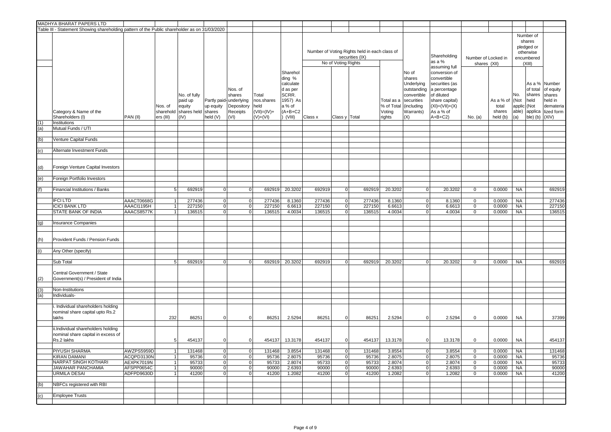|            | MADHYA BHARAT PAPERS LTD                                                                      |            |                                   |                                                                 |                                                 |                                                     |                                                               |                                                                                                   |         |                     |                                                                  |                                              |                                                                                                             |                                                                                                                                                                  |                                     |                                          |                                       |                                                                        |                                                                                     |
|------------|-----------------------------------------------------------------------------------------------|------------|-----------------------------------|-----------------------------------------------------------------|-------------------------------------------------|-----------------------------------------------------|---------------------------------------------------------------|---------------------------------------------------------------------------------------------------|---------|---------------------|------------------------------------------------------------------|----------------------------------------------|-------------------------------------------------------------------------------------------------------------|------------------------------------------------------------------------------------------------------------------------------------------------------------------|-------------------------------------|------------------------------------------|---------------------------------------|------------------------------------------------------------------------|-------------------------------------------------------------------------------------|
|            | Table III - Statement Showing shareholding pattern of the Public shareholder as on 31/03/2020 |            |                                   |                                                                 |                                                 |                                                     |                                                               |                                                                                                   |         |                     |                                                                  |                                              |                                                                                                             |                                                                                                                                                                  |                                     |                                          |                                       |                                                                        |                                                                                     |
|            |                                                                                               |            |                                   |                                                                 |                                                 |                                                     |                                                               |                                                                                                   |         | No of Voting Rights | Number of Voting Rights held in each class of<br>securities (IX) |                                              |                                                                                                             | Shareholding<br>as a %                                                                                                                                           | Number of Locked in<br>shares (XII) |                                          |                                       | Number of<br>shares<br>pledged or<br>otherwise<br>encumbered<br>(XIII) |                                                                                     |
| (1)<br>(a) | Category & Name of the<br>Shareholders (I)<br>Institutions<br>Mutual Funds / UTI              | PAN (II)   | Nos. of<br>sharehold<br>ers (III) | No. of fully<br>paid up<br>equity<br>shares held shares<br>(IV) | Partly paid-underlying<br>up equity<br>held (V) | Nos. of<br>shares<br>Depository<br>Receipts<br>(VI) | Total<br>nos.shares<br>held<br>$(VII) = (IV) +$<br>$(V)+(VI)$ | Sharehol<br>ding %<br>calculate<br>d as per<br>SCRR.<br>1957) As<br>a % of<br>$(A+B+C2$<br>(VIII) | Class x | Class y Total       |                                                                  | Total as a<br>% of Total<br>Voting<br>rights | No of<br>shares<br>Underlying<br>outstanding<br>convertible<br>securities<br>(including<br>Warrants)<br>(X) | assuming full<br>conversion of<br>convertible<br>securities (as<br>a percentage<br>of diluted<br>share capital)<br>$(XI) = (VII) + (X)$<br>As a % of<br>$A+B+C2$ | No. (a)                             | As a % of<br>total<br>shares<br>held (b) | No.<br>(Not<br>applic<br>able)<br>(a) | of total<br>shares<br>held<br>(Not<br>applica<br>ble) (b)              | As a % Number<br>of equity<br>shares<br>held in<br>demateria<br>lized form<br>(XIV) |
|            |                                                                                               |            |                                   |                                                                 |                                                 |                                                     |                                                               |                                                                                                   |         |                     |                                                                  |                                              |                                                                                                             |                                                                                                                                                                  |                                     |                                          |                                       |                                                                        |                                                                                     |
| (b)        | Venture Capital Funds                                                                         |            |                                   |                                                                 |                                                 |                                                     |                                                               |                                                                                                   |         |                     |                                                                  |                                              |                                                                                                             |                                                                                                                                                                  |                                     |                                          |                                       |                                                                        |                                                                                     |
| (c)        | Alternate Investment Funds                                                                    |            |                                   |                                                                 |                                                 |                                                     |                                                               |                                                                                                   |         |                     |                                                                  |                                              |                                                                                                             |                                                                                                                                                                  |                                     |                                          |                                       |                                                                        |                                                                                     |
|            |                                                                                               |            |                                   |                                                                 |                                                 |                                                     |                                                               |                                                                                                   |         |                     |                                                                  |                                              |                                                                                                             |                                                                                                                                                                  |                                     |                                          |                                       |                                                                        |                                                                                     |
| (d)        | Foreign Venture Capital Investors                                                             |            |                                   |                                                                 |                                                 |                                                     |                                                               |                                                                                                   |         |                     |                                                                  |                                              |                                                                                                             |                                                                                                                                                                  |                                     |                                          |                                       |                                                                        |                                                                                     |
| (e)        | Foreign Portfolio Investors                                                                   |            |                                   |                                                                 |                                                 |                                                     |                                                               |                                                                                                   |         |                     |                                                                  |                                              |                                                                                                             |                                                                                                                                                                  |                                     |                                          |                                       |                                                                        |                                                                                     |
|            |                                                                                               |            |                                   |                                                                 |                                                 |                                                     |                                                               |                                                                                                   |         |                     |                                                                  |                                              |                                                                                                             |                                                                                                                                                                  |                                     |                                          |                                       |                                                                        |                                                                                     |
|            | Financial Institutions / Banks                                                                |            | 5                                 | 692919                                                          | $\mathbf 0$                                     | $\overline{0}$                                      | 692919                                                        | 20.3202                                                                                           | 692919  | $\overline{0}$      | 692919                                                           | 20.3202                                      | $\mathbf 0$                                                                                                 | 20.3202                                                                                                                                                          | $\mathbf{0}$                        | 0.0000                                   | <b>NA</b>                             |                                                                        | 692919                                                                              |
|            |                                                                                               |            |                                   |                                                                 |                                                 |                                                     |                                                               |                                                                                                   |         |                     |                                                                  |                                              |                                                                                                             |                                                                                                                                                                  |                                     |                                          |                                       |                                                                        |                                                                                     |
|            | <b>IFCILTD</b>                                                                                | AAACT0668G |                                   | 277436                                                          | $\mathbf 0$                                     | $\mathbf 0$                                         | 277436                                                        | 8.1360                                                                                            | 277436  | $\overline{0}$      | 277436                                                           | 8.1360                                       | $\mathbf 0$                                                                                                 | 8.1360                                                                                                                                                           | 0                                   | 0.0000                                   | <b>NA</b>                             |                                                                        | 277436                                                                              |
|            | <b>ICICI BANK LTD</b>                                                                         | AAACI1195H |                                   | 227150                                                          | $\mathbf 0$                                     | $\mathbf 0$                                         | 227150                                                        | 6.6613                                                                                            | 227150  | $\overline{0}$      | 227150                                                           | 6.6613                                       | $\mathbf 0$                                                                                                 | 6.6613                                                                                                                                                           | $\mathbf 0$                         | 0.0000                                   | <b>NA</b>                             |                                                                        | 227150                                                                              |
|            | <b>STATE BANK OF INDIA</b>                                                                    | AAACS8577K |                                   | 136515                                                          | $\mathbf 0$                                     | 0                                                   | 136515                                                        | 4.0034                                                                                            | 136515  | $\overline{0}$      | 136515                                                           | 4.0034                                       | $\mathbf 0$                                                                                                 | 4.0034                                                                                                                                                           | $\mathbf 0$                         | 0.0000                                   | <b>NA</b>                             |                                                                        | 136515                                                                              |
|            |                                                                                               |            |                                   |                                                                 |                                                 |                                                     |                                                               |                                                                                                   |         |                     |                                                                  |                                              |                                                                                                             |                                                                                                                                                                  |                                     |                                          |                                       |                                                                        |                                                                                     |
| (g)        | <b>Insurance Companies</b>                                                                    |            |                                   |                                                                 |                                                 |                                                     |                                                               |                                                                                                   |         |                     |                                                                  |                                              |                                                                                                             |                                                                                                                                                                  |                                     |                                          |                                       |                                                                        |                                                                                     |
|            |                                                                                               |            |                                   |                                                                 |                                                 |                                                     |                                                               |                                                                                                   |         |                     |                                                                  |                                              |                                                                                                             |                                                                                                                                                                  |                                     |                                          |                                       |                                                                        |                                                                                     |
| (h)        | Provident Funds / Pension Funds                                                               |            |                                   |                                                                 |                                                 |                                                     |                                                               |                                                                                                   |         |                     |                                                                  |                                              |                                                                                                             |                                                                                                                                                                  |                                     |                                          |                                       |                                                                        |                                                                                     |
| (i)        | Any Other (specify)                                                                           |            |                                   |                                                                 |                                                 |                                                     |                                                               |                                                                                                   |         |                     |                                                                  |                                              |                                                                                                             |                                                                                                                                                                  |                                     |                                          |                                       |                                                                        |                                                                                     |
|            |                                                                                               |            |                                   |                                                                 |                                                 |                                                     |                                                               |                                                                                                   |         |                     |                                                                  |                                              |                                                                                                             |                                                                                                                                                                  |                                     |                                          |                                       |                                                                        |                                                                                     |
|            | Sub Total                                                                                     |            | 5                                 | 692919                                                          | $\mathbf 0$                                     | $\mathbf{0}$                                        | 692919                                                        | 20.3202                                                                                           | 692919  | $\overline{0}$      | 692919                                                           | 20.3202                                      | $\mathbf 0$                                                                                                 | 20.3202                                                                                                                                                          | $\mathbf 0$                         | 0.0000                                   | <b>NA</b>                             |                                                                        | 692919                                                                              |
| (2)        | Central Government / State<br>Government(s) / President of India                              |            |                                   |                                                                 |                                                 |                                                     |                                                               |                                                                                                   |         |                     |                                                                  |                                              |                                                                                                             |                                                                                                                                                                  |                                     |                                          |                                       |                                                                        |                                                                                     |
| (3)        | Non-Institutions                                                                              |            |                                   |                                                                 |                                                 |                                                     |                                                               |                                                                                                   |         |                     |                                                                  |                                              |                                                                                                             |                                                                                                                                                                  |                                     |                                          |                                       |                                                                        |                                                                                     |
| (a)        | Individuals-                                                                                  |            |                                   |                                                                 |                                                 |                                                     |                                                               |                                                                                                   |         |                     |                                                                  |                                              |                                                                                                             |                                                                                                                                                                  |                                     |                                          |                                       |                                                                        |                                                                                     |
|            |                                                                                               |            |                                   |                                                                 |                                                 |                                                     |                                                               |                                                                                                   |         |                     |                                                                  |                                              |                                                                                                             |                                                                                                                                                                  |                                     |                                          |                                       |                                                                        |                                                                                     |
|            | i. Individual shareholders holding<br>nominal share capital upto Rs.2<br>lakhs                |            | 232                               | 86251                                                           | $\mathbf 0$                                     | $\Omega$                                            | 86251                                                         | 2.5294                                                                                            | 86251   | $\Omega$            | 86251                                                            | 2.5294                                       | $\Omega$                                                                                                    | 2.5294                                                                                                                                                           | $\mathbf{0}$                        | 0.0000                                   | <b>NA</b>                             |                                                                        | 37399                                                                               |
|            | ii.Individual shareholders holding<br>nominal share capital in excess of<br>Rs.2 lakhs        |            | 5                                 | 454137                                                          | $\mathbf 0$                                     | $\Omega$                                            | 454137                                                        | 13.3178                                                                                           | 454137  | $\Omega$            | 454137                                                           | 13.3178                                      | $\Omega$                                                                                                    | 13.3178                                                                                                                                                          | $\mathbf 0$                         | 0.0000                                   | <b>NA</b>                             |                                                                        | 454137                                                                              |
|            |                                                                                               |            |                                   |                                                                 |                                                 |                                                     |                                                               |                                                                                                   |         |                     |                                                                  |                                              |                                                                                                             |                                                                                                                                                                  |                                     |                                          |                                       |                                                                        |                                                                                     |
|            | <b>PIYUSH SHARMA</b>                                                                          | AWZPS5959D | $\overline{1}$                    | 131468                                                          | $\mathbf 0$                                     | 0                                                   | 131468                                                        | 3.8554                                                                                            | 131468  | $\overline{0}$      | 131468                                                           | 3.8554                                       | $\mathbf 0$                                                                                                 | 3.8554                                                                                                                                                           | $\mathbf 0$                         | 0.0000                                   | <b>NA</b>                             |                                                                        | 131468                                                                              |
|            | <b>KIRAN DAMANI</b>                                                                           | ACQPD3130N |                                   | 95736                                                           | $\mathbf 0$                                     | $\overline{0}$                                      | 95736                                                         | 2.8075                                                                                            | 95736   | $\overline{O}$      | 95736                                                            | 2.8075                                       | $\mathbf 0$                                                                                                 | 2.8075                                                                                                                                                           | $\mathbf 0$                         | 0.0000                                   | <b>NA</b>                             |                                                                        | 95736                                                                               |
|            | NARPAT SINGH KOTHARI                                                                          | AEXPK7019N | $\overline{1}$                    | 95733                                                           | $\mathbf 0$                                     | $\overline{0}$                                      | 95733                                                         | 2.8074                                                                                            | 95733   | $\overline{0}$      | 95733                                                            | 2.8074                                       | 0                                                                                                           | 2.8074                                                                                                                                                           | $\mathbf 0$                         | 0.0000                                   | <b>NA</b>                             |                                                                        | 95733                                                                               |
|            | <b>JAWAHAR PANCHAMIA</b>                                                                      | AFSPP0654C | -1                                | 90000                                                           | $\mathbf 0$                                     | $\mathbf 0$                                         | 90000                                                         | 2.6393                                                                                            | 90000   | 0                   | 90000                                                            | 2.6393                                       | 0                                                                                                           | 2.6393                                                                                                                                                           | $\mathbf 0$                         | 0.0000                                   | <b>NA</b>                             |                                                                        | 90000                                                                               |
|            | <b>URMILA DESAI</b>                                                                           | ADFPD9630D |                                   | 41200                                                           | $\mathbf 0$                                     | $\overline{0}$                                      | 41200                                                         | 1.2082                                                                                            | 41200   | $\overline{0}$      | 41200                                                            | 1.2082                                       | $\mathbf 0$                                                                                                 | 1.2082                                                                                                                                                           | $\mathbf 0$                         | 0.0000                                   | <b>NA</b>                             |                                                                        | 41200                                                                               |
|            |                                                                                               |            |                                   |                                                                 |                                                 |                                                     |                                                               |                                                                                                   |         |                     |                                                                  |                                              |                                                                                                             |                                                                                                                                                                  |                                     |                                          |                                       |                                                                        |                                                                                     |
| (b)        | NBFCs registered with RBI                                                                     |            |                                   |                                                                 |                                                 |                                                     |                                                               |                                                                                                   |         |                     |                                                                  |                                              |                                                                                                             |                                                                                                                                                                  |                                     |                                          |                                       |                                                                        |                                                                                     |
| (c)        | <b>Employee Trusts</b>                                                                        |            |                                   |                                                                 |                                                 |                                                     |                                                               |                                                                                                   |         |                     |                                                                  |                                              |                                                                                                             |                                                                                                                                                                  |                                     |                                          |                                       |                                                                        |                                                                                     |
|            |                                                                                               |            |                                   |                                                                 |                                                 |                                                     |                                                               |                                                                                                   |         |                     |                                                                  |                                              |                                                                                                             |                                                                                                                                                                  |                                     |                                          |                                       |                                                                        |                                                                                     |
|            |                                                                                               |            |                                   |                                                                 |                                                 |                                                     |                                                               |                                                                                                   |         |                     |                                                                  |                                              |                                                                                                             |                                                                                                                                                                  |                                     |                                          |                                       |                                                                        |                                                                                     |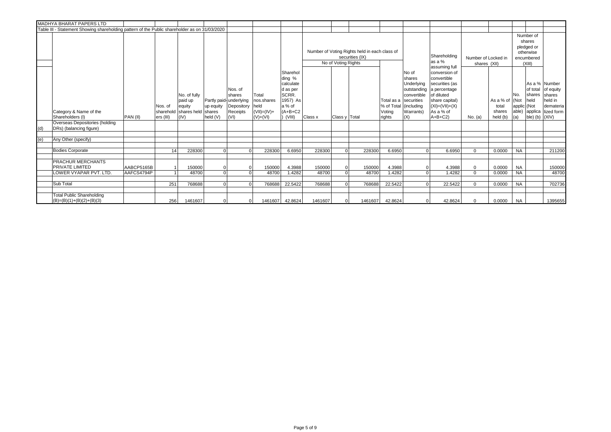|     | <b>MADHYA BHARAT PAPERS LTD</b>                                                               |                          |                      |                                                                    |                                 |                                                                               |                                                            |                                                                                                    |                 |                     |                                                                  |                  |                                                                                                                                   |                                                                                                                                                 |                                     |                                          |                                                                        |                                                       |                                                                                     |
|-----|-----------------------------------------------------------------------------------------------|--------------------------|----------------------|--------------------------------------------------------------------|---------------------------------|-------------------------------------------------------------------------------|------------------------------------------------------------|----------------------------------------------------------------------------------------------------|-----------------|---------------------|------------------------------------------------------------------|------------------|-----------------------------------------------------------------------------------------------------------------------------------|-------------------------------------------------------------------------------------------------------------------------------------------------|-------------------------------------|------------------------------------------|------------------------------------------------------------------------|-------------------------------------------------------|-------------------------------------------------------------------------------------|
|     | Table III - Statement Showing shareholding pattern of the Public shareholder as on 31/03/2020 |                          |                      |                                                                    |                                 |                                                                               |                                                            |                                                                                                    |                 |                     |                                                                  |                  |                                                                                                                                   |                                                                                                                                                 |                                     |                                          |                                                                        |                                                       |                                                                                     |
|     |                                                                                               |                          |                      |                                                                    |                                 |                                                                               |                                                            |                                                                                                    |                 | No of Voting Rights | Number of Voting Rights held in each class of<br>securities (IX) |                  |                                                                                                                                   | Shareholding<br>as a %<br>assuming full                                                                                                         | Number of Locked in<br>shares (XII) |                                          | Number of<br>shares<br>pledged or<br>otherwise<br>encumbered<br>(XIII) |                                                       |                                                                                     |
|     | Category & Name of the<br>Shareholders (I)                                                    | PAN (II)                 | Nos. of<br>ers (III) | No. of fully<br>paid up<br>equity<br>sharehold shares held<br>(IV) | up equity<br>shares<br>held (V) | Nos. of<br>shares<br>Partly paid-underlying<br>Depository<br>Receipts<br>(VI) | Total<br>nos.shares<br>held<br>$(VII)=(IV)+$<br>$(V)+(VI)$ | Sharehol<br>ding %<br>calculate<br>d as per<br>SCRR.<br>1957) As<br>a % of<br>$(A+B+C2)$<br>(VIII) | Class x         | Class y   Total     |                                                                  | Voting<br>rights | No of<br>shares<br>Underlying<br>outstanding<br>convertible<br>Total as a Securities<br>% of Total (including<br>Warrants)<br>(X) | conversion of<br>convertible<br>securities (as<br>a percentage<br>of diluted<br>share capital)<br>$(XI) = (VII) + (X)$<br>As a % of<br>$A+B+C2$ | No. (a)                             | As a % of<br>total<br>shares<br>held (b) | No.<br>(Not<br>applic (Not<br>able)<br>(a)                             | <b>Ishares</b><br>held<br>applica<br>ble) (b) $(XIV)$ | As a % Number<br>of total of equity<br>shares<br>held in<br>demateria<br>lized form |
|     | Overseas Depositories (holding<br>DRs) (balancing figure)                                     |                          |                      |                                                                    |                                 |                                                                               |                                                            |                                                                                                    |                 |                     |                                                                  |                  |                                                                                                                                   |                                                                                                                                                 |                                     |                                          |                                                                        |                                                       |                                                                                     |
|     |                                                                                               |                          |                      |                                                                    |                                 |                                                                               |                                                            |                                                                                                    |                 |                     |                                                                  |                  |                                                                                                                                   |                                                                                                                                                 |                                     |                                          |                                                                        |                                                       |                                                                                     |
| (e) | Any Other (specify)                                                                           |                          |                      |                                                                    |                                 |                                                                               |                                                            |                                                                                                    |                 |                     |                                                                  |                  |                                                                                                                                   |                                                                                                                                                 |                                     |                                          |                                                                        |                                                       |                                                                                     |
|     | <b>Bodies Corporate</b>                                                                       |                          | 14                   | 228300                                                             | $\Omega$                        |                                                                               | 228300                                                     | 6.6950                                                                                             | 228300          | $\Omega$            | 228300                                                           | 6.6950           | $\Omega$                                                                                                                          | 6.6950                                                                                                                                          | $\Omega$                            | 0.0000                                   | <b>NA</b>                                                              |                                                       | 211200                                                                              |
|     | <b>PRACHUR MERCHANTS</b><br><b>PRIVATE LIMITED</b><br>LOWER VYAPAR PVT. LTD                   | AABCP5165B<br>AAFCS4794P |                      | 150000<br>48700                                                    | $\overline{0}$                  |                                                                               | 150000<br>48700                                            | 4.3988<br>1.4282                                                                                   | 150000<br>48700 | $\Omega$            | 150000<br>48700                                                  | 4.3988<br>1.4282 |                                                                                                                                   | 4.3988<br>1.4282                                                                                                                                | $\mathbf{0}$<br>$\mathbf{0}$        | 0.0000<br>0.0000                         | <b>NA</b><br><b>NA</b>                                                 |                                                       | 150000<br>48700                                                                     |
|     | Sub Total                                                                                     |                          | 251                  | 768688                                                             | $\Omega$                        | $\Omega$                                                                      | 768688                                                     | 22.5422                                                                                            | 768688          |                     | 768688                                                           | 22.5422          |                                                                                                                                   | 22.5422                                                                                                                                         | $\Omega$                            | 0.0000                                   | <b>NA</b>                                                              |                                                       | 702736                                                                              |
|     | <b>Total Public Shareholding</b><br>$(B)=(B)(1)+(B)(2)+(B)(3)$                                |                          | 256                  | 1461607                                                            |                                 |                                                                               |                                                            | 1461607 42.8624                                                                                    | 1461607         |                     | 1461607                                                          | 42.8624          | $\Omega$                                                                                                                          | 42.8624                                                                                                                                         | $\Omega$                            | 0.0000                                   | <b>NA</b>                                                              |                                                       | 1395655                                                                             |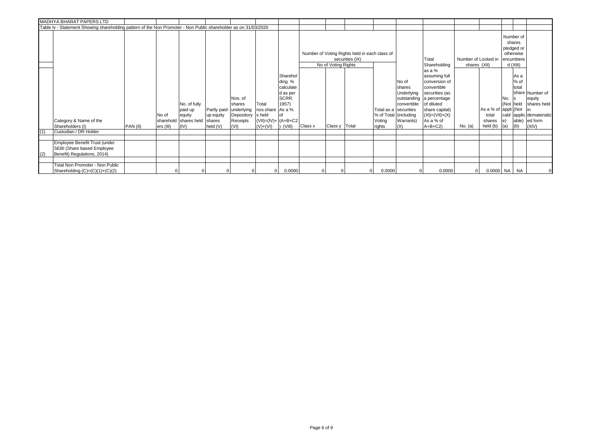|     | MADHYA BHARAT PAPERS LTD                                                                                        |          |                    |                                                                    |                                                            |                                                             |                                                                             |                                                                                |         |                     |                                                                  |                                                                    |                                                                  |                                                                                                                                                                                        |              |                                                     |                               |                                                            |                                                                                          |
|-----|-----------------------------------------------------------------------------------------------------------------|----------|--------------------|--------------------------------------------------------------------|------------------------------------------------------------|-------------------------------------------------------------|-----------------------------------------------------------------------------|--------------------------------------------------------------------------------|---------|---------------------|------------------------------------------------------------------|--------------------------------------------------------------------|------------------------------------------------------------------|----------------------------------------------------------------------------------------------------------------------------------------------------------------------------------------|--------------|-----------------------------------------------------|-------------------------------|------------------------------------------------------------|------------------------------------------------------------------------------------------|
|     | Table Iv - Statement Showing shareholding pattern of the Non Promoter - Non Public shareholder as on 31/03/2020 |          |                    |                                                                    |                                                            |                                                             |                                                                             |                                                                                |         |                     |                                                                  |                                                                    |                                                                  |                                                                                                                                                                                        |              |                                                     |                               |                                                            |                                                                                          |
|     |                                                                                                                 |          |                    |                                                                    |                                                            |                                                             |                                                                             |                                                                                |         | No of Voting Rights | Number of Voting Rights held in each class of<br>securities (IX) |                                                                    |                                                                  | Total<br>Shareholding                                                                                                                                                                  | shares (XII) | Number of Locked in encumbere                       |                               | Number of<br>shares<br>pledged or<br>otherwise<br>d (XIII) |                                                                                          |
|     | Category & Name of the<br>Shareholders (I)                                                                      | PAN (II) | No of<br>ers (III) | No. of fully<br>paid up<br>equity<br>sharehold shares held<br>(IV) | Partly paid- underlying<br>up equity<br>shares<br>held (V) | Nos. of<br><b>Ishares</b><br>Depository<br>Receipts<br>(VI) | Total<br>nos.share As a %<br>s held<br>$ (VII)=(IV)+  (A+B+C2$<br>$(V)+(V)$ | Sharehol<br>ding %<br>calculate<br>d as per<br>SCRR.<br>1957)<br>lof<br>(VIII) | Class x | Class y   Total     |                                                                  | Total as a securities<br>% of Total (including<br>Voting<br>rights | No of<br>shares<br>Underlying<br>convertible<br>Warrants)<br>(X) | as a %<br>assuming full<br>conversion of<br>convertible<br>securities (as<br>outstanding a percentage<br>of diluted<br>share capital)<br>$(XI) = (VII) + (X)$<br>As a % of<br>$A+B+C2$ | No. (a)      | As a % of appli (Not<br>total<br>shares<br>held (b) | IN <sub>o</sub><br>le)<br>(a) | As a<br>% of<br>total<br>(Not held<br>able)<br>(b)         | share Number of<br>equity<br>shares held<br>cabl applic dematerializ<br>ed form<br>(XIV) |
| (1) | Custodian / DR Holder                                                                                           |          |                    |                                                                    |                                                            |                                                             |                                                                             |                                                                                |         |                     |                                                                  |                                                                    |                                                                  |                                                                                                                                                                                        |              |                                                     |                               |                                                            |                                                                                          |
|     |                                                                                                                 |          |                    |                                                                    |                                                            |                                                             |                                                                             |                                                                                |         |                     |                                                                  |                                                                    |                                                                  |                                                                                                                                                                                        |              |                                                     |                               |                                                            |                                                                                          |
|     | Employee Benefit Trust (under<br>SEBI (Share based Employee<br>Benefit) Regulations, 2014)                      |          |                    |                                                                    |                                                            |                                                             |                                                                             |                                                                                |         |                     |                                                                  |                                                                    |                                                                  |                                                                                                                                                                                        |              |                                                     |                               |                                                            |                                                                                          |
|     | Total Non Promoter - Non Public<br>Shareholding $(C)=(C)(1)+(C)(2)$                                             |          |                    |                                                                    |                                                            |                                                             | οı                                                                          | 0.0000                                                                         |         |                     |                                                                  | 0.0000                                                             | 0                                                                | 0.0000                                                                                                                                                                                 | 01           | $0.0000$ NA NA                                      |                               |                                                            |                                                                                          |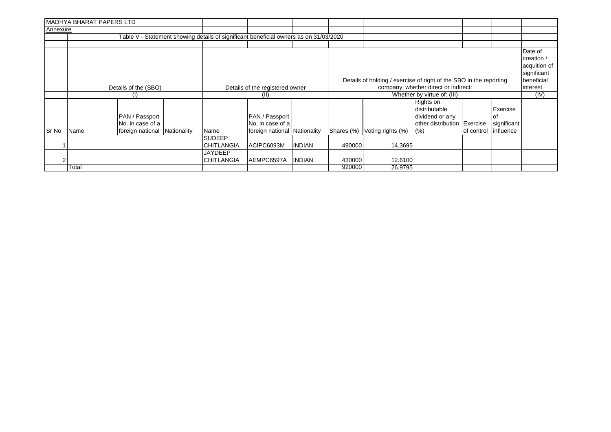|          | <b>MADHYA BHARAT PAPERS LTD</b> |                                    |             |                                                                                       |                                    |               |            |                   |                                               |                                                                                                                                                         |  |                                                                    |  |  |  |
|----------|---------------------------------|------------------------------------|-------------|---------------------------------------------------------------------------------------|------------------------------------|---------------|------------|-------------------|-----------------------------------------------|---------------------------------------------------------------------------------------------------------------------------------------------------------|--|--------------------------------------------------------------------|--|--|--|
| Annexure |                                 |                                    |             |                                                                                       |                                    |               |            |                   |                                               |                                                                                                                                                         |  |                                                                    |  |  |  |
|          |                                 |                                    |             | Table V - Statement showing details of significant beneficial owners as on 31/03/2020 |                                    |               |            |                   |                                               |                                                                                                                                                         |  |                                                                    |  |  |  |
|          |                                 |                                    |             |                                                                                       |                                    |               |            |                   |                                               |                                                                                                                                                         |  |                                                                    |  |  |  |
|          |                                 |                                    |             |                                                                                       |                                    |               |            |                   |                                               |                                                                                                                                                         |  | Date of<br>creation /<br>acquition of<br>significant<br>beneficial |  |  |  |
|          |                                 | Details of the (SBO)               |             |                                                                                       | Details of the registered owner    |               |            |                   | company, whether direct or indirect:          |                                                                                                                                                         |  | interest                                                           |  |  |  |
|          |                                 | (1)                                |             |                                                                                       | (II)                               |               |            |                   | Whether by virtue of: (III)                   | Details of holding / exercise of right of the SBO in the reporting<br>Exercise<br>other distribution Exercise<br>significant<br>influence<br>of control |  |                                                                    |  |  |  |
|          |                                 | PAN / Passport<br>No. in case of a |             |                                                                                       | PAN / Passport<br>No. in case of a |               |            |                   | Rights on<br>distributable<br>dividend or any |                                                                                                                                                         |  |                                                                    |  |  |  |
| Sr No    | Name                            | foreign national                   | Nationality | Name                                                                                  | foreign national                   | Nationality   | Shares (%) | Voting rights (%) | (% )                                          |                                                                                                                                                         |  |                                                                    |  |  |  |
|          |                                 |                                    |             | <b>SUDEEP</b><br><b>CHITLANGIA</b>                                                    | ACIPC6093M                         | <b>INDIAN</b> | 490000     | 14.3695           |                                               |                                                                                                                                                         |  |                                                                    |  |  |  |
|          |                                 |                                    |             | <b>JAYDEEP</b><br><b>CHITLANGIA</b>                                                   | AEMPC6597A                         | <b>INDIAN</b> | 430000     | 12.6100           |                                               |                                                                                                                                                         |  |                                                                    |  |  |  |
|          | Total                           |                                    |             |                                                                                       |                                    |               | 920000     | 26.9795           |                                               |                                                                                                                                                         |  |                                                                    |  |  |  |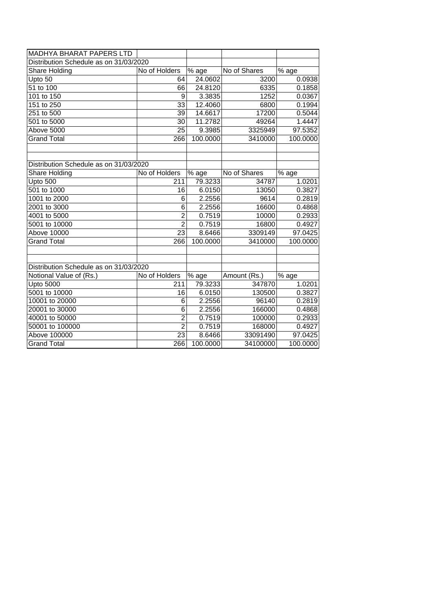| MADHYA BHARAT PAPERS LTD               |                 |          |              |          |
|----------------------------------------|-----------------|----------|--------------|----------|
| Distribution Schedule as on 31/03/2020 |                 |          |              |          |
| Share Holding                          | No of Holders   | % age    | No of Shares | % age    |
| Upto 50                                | 64              | 24.0602  | 3200         | 0.0938   |
| 51 to 100                              | 66              | 24.8120  | 6335         | 0.1858   |
| 101 to 150                             | 9               | 3.3835   | 1252         | 0.0367   |
| 151 to 250                             | $\overline{33}$ | 12.4060  | 6800         | 0.1994   |
| 251 to 500                             | 39              | 14.6617  | 17200        | 0.5044   |
| 501 to 5000                            | 30              | 11.2782  | 49264        | 1.4447   |
| Above 5000                             | $\overline{25}$ | 9.3985   | 3325949      | 97.5352  |
| <b>Grand Total</b>                     | 266             | 100.0000 | 3410000      | 100.0000 |
|                                        |                 |          |              |          |
|                                        |                 |          |              |          |
| Distribution Schedule as on 31/03/2020 |                 |          |              |          |
| Share Holding                          | No of Holders   | % age    | No of Shares | % age    |
| Upto 500                               | 211             | 79.3233  | 34787        | 1.0201   |
| 501 to 1000                            | 16              | 6.0150   | 13050        | 0.3827   |
| 1001 to 2000                           | 6               | 2.2556   | 9614         | 0.2819   |
| 2001 to 3000                           | 6               | 2.2556   | 16600        | 0.4868   |
| 4001 to 5000                           | $\overline{2}$  | 0.7519   | 10000        | 0.2933   |
| 5001 to 10000                          | $\overline{2}$  | 0.7519   | 16800        | 0.4927   |
| <b>Above 10000</b>                     | $\overline{23}$ | 8.6466   | 3309149      | 97.0425  |
| <b>Grand Total</b>                     | 266             | 100.0000 | 3410000      | 100.0000 |
|                                        |                 |          |              |          |
|                                        |                 |          |              |          |
| Distribution Schedule as on 31/03/2020 |                 |          |              |          |
| Notional Value of (Rs.)                | No of Holders   | % age    | Amount (Rs.) | % age    |
| <b>Upto 5000</b>                       | 211             | 79.3233  | 347870       | 1.0201   |
| 5001 to 10000                          | 16              | 6.0150   | 130500       | 0.3827   |
| 10001 to 20000                         | 6               | 2.2556   | 96140        | 0.2819   |
| 20001 to 30000                         | 6               | 2.2556   | 166000       | 0.4868   |
| 40001 to 50000                         | $\overline{2}$  | 0.7519   | 100000       | 0.2933   |
| 50001 to 100000                        | $\overline{2}$  | 0.7519   | 168000       | 0.4927   |
| Above 100000                           | 23              | 8.6466   | 33091490     | 97.0425  |
| <b>Grand Total</b>                     | 266             | 100.0000 | 34100000     | 100.0000 |